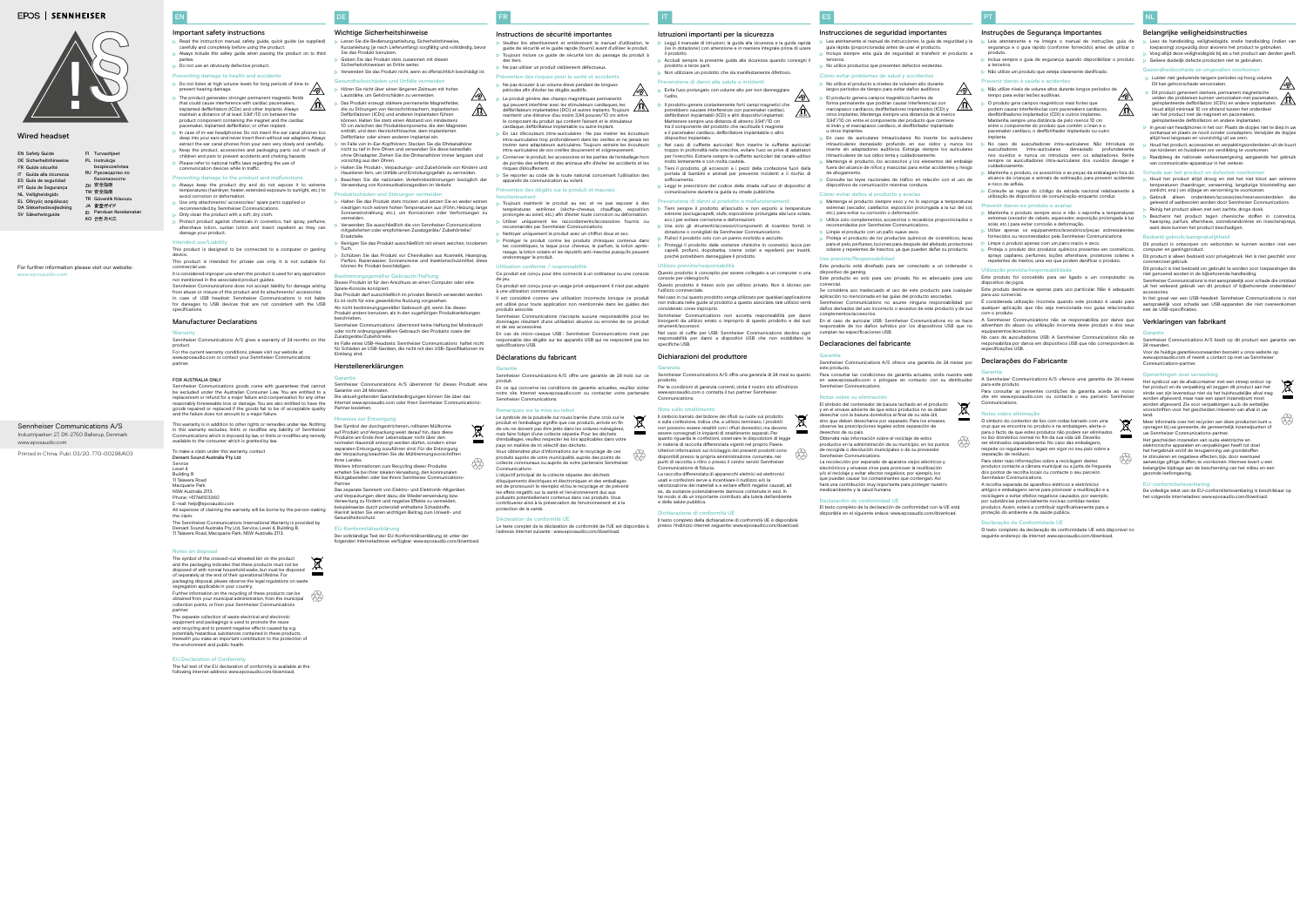DE

- Lesen Sie die Bedienungsanleitung, Sicherheitshinweise, Kurzanleitung (je nach Lieferumfang) sorgfältig und vollständig, bevor Sie das Produkt benutzen.
- Geben Sie das Produkt stets zusammen mit diesen
- Sicherheitshinweisen an Dritte weiter.
- Verwenden Sie das Produkt nicht, wenn es offensichtlich beschädigt ist.
- ndheitsschäden und Unfälle ve Hören Sie nicht über einen längeren Zeitraum mit hoher
- Lautstärke, um Gehörschäden zu ver
- Das Produkt erzeugt stärkere permanente Magnetfelder, die zu Störungen von Herzschrittmachern, implantierten Defibrillatoren (ICDs) und anderen Implantaten führen können. Halten Sie stets einen Abstand von mindester 10 cm zwischen der Produktkomponente, die den Magneten enthält, und dem Herzschrittmacher, dem implantierten
- Defibrillator oder einem anderen Implantat ein. Im Falle von In-Ear-Kopfhörern: Stecken Sie die Ohrkanalhörer nicht zu tief in Ihre Ohren und verwenden Sie diese keinesfalls ohne Ohradapter. Ziehen Sie die Ohrkanalhörer immer langsam und
- vorsichtig aus den Ohren. Halten Sie Produkt-, Verpackungs- und Zubehörteile von Kindern und Haustieren fern, um Unfälle und Erstickungsgefahr zu vermeiden.
- Beachten Sie die nationalen Verkehrsbestimmungen bezüglich der Verwendung von Kommunikationsgeräten im Verkeh

## Wichtige Sicherheitshinweise

### roduktschäden und Störungen v

- Halten Sie das Produkt stets trocken und setzen Sie es weder extrem niedrigen noch extrem hohen Temperaturen aus (Föhn, Heizung, lange Sonneneinstrahlung etc.), um Korrosionen oder Verformungen zu vermeiden.
- Verwenden Sie ausschließlich die von Sennheiser Communications mitgelieferten oder empfohlenen Zusatzgeräte/ Zubehörteile/ Ersatzteile.
- Reinigen Sie das Produkt ausschließlich mit einem weichen, trockenen Tuch. Schützen Sie das Produkt vor Chemikalien aus Kosmetik, Haarspray,
- Parfüm, Rasierwasser, Sonnencreme und Insektenschutzmittel, diese können Ihr Produkt beschädigen.

### mäßer Gebrauch/Haftun

Der vollständige Text der EU-Konformitätserklärung ist unter der esse verfügbar: www.eposaud

- EN Safety Guide DE Sicherheitshinweise Guide sécurité FR Guida alla sicurezza IT ES Guía de seguridad Guia de Segurança PT NL Veiligheidsgids Οδηγός ασφάλειας EL
- DA Sikkerhedsvejledning
- SV Säkerhetsguide
- For further information please visit our website: www.eposaudio.com

Dieses Produkt ist für den Anschluss an einen Computer oder eine Spiele-Konsole konzipiert. Das Produkt darf ausschließlich im privaten Bereich verwendet werden.

FI Turvaohjeet PL Instrukcje RU Руководство по ZH 安全指南 TW *㸜Ⰻ䭷⽂* TR Güvenlik Kılavuzu JA 安全ガイド ID Panduan Keselamatan KO 안전 가이드

- Instructions de sécurité importantes Veuillez lire attentivement et entièrement le manuel d'utilisation, le
- guide de sécurité et le guide rapide (fourni) avant d'utiliser le produit. Toujours inclure ce guide de sécurité lors du passage du produit à
- des tiers. > Ne pas utiliser un produit visiblement défectueux
- Prévention des risques pour la santé et accidents
- $\triangleright$  Ne pas écouter à un volume élevé pendant de longues
- périodes afin d'éviter les dégâts auditifs.
- $\triangleright$  Le produit génère des champs magnétiques permanents<br>qui peuvent interférer avec les stimulateurs cardiaques, les<br>défibrillateurs implantables (DCI) et autres implants. Toujours<br>maintenir une distance d'au moins 3,9 le composant du produit qui contient l'aimant et le stimulateur cardiaque, défibrillateur implantable ou autre implant. En cas d'écouteurs intra-auriculaires : Ne pas insérer les écouteurs
- intra-auriculaires trop profondément dans les oreilles et ne jamais les insérer sans adaptateurs auriculaires. Toujours extraire les écouteurs intra-auriculaires de vos oreilles doucement et soigneuse Conserver le produit, les accessoires et les parties de l'emballage hors
- de portée des enfants et des animaux afin d'éviter les accidents et les risques d'étouffement.
- Se reporter au code de la route national concernant l'utilisation des appareils de communication au volant. ention des dégâts sur le produit et mauvais

Es ist nicht für eine gewerbliche Nutzung vorgesehen. Als nicht bestimmungsgemäßer Gebrauch gilt, wenn Sie dieses Produkt anders benutzen, als in den zugehörigen Produktanleitungen

beschrieben. Sennheiser Communications übernimmt keine Haftung bei Missbrauch oder nicht ordnungsgemäßem Gebrauch des Produkts sowie der

Zusatzgeräte/Zubehörteile. Im Falle eines USB-Headsets: Sennheiser Communications haftet nicht

für Schäden an USB-Geräten, die nicht mit den USB-Spezifikationen im Einklang sind.

## Herstellererklärungen

#### Garantie Sennheiser Communications A/S übernimmt für dieses Produkt eine

Garantie von 24 Monaten. Die aktuell geltenden Garantiebedingungen können Sie über das Internet www.eposaudio.com oder Ihren Sennheiser Communications-Partner beziehen.

#### Hinweise zur Entsorgung

Das Symbol der durchgestrichenen, rollbaren Mülltonne auf Produkt und Verpackung weist darauf hin, dass diese Produkte am Ende ihrer Lebensdauer nicht über den normalen Hausmüll entsorgt werden dürfen, sondern einer separaten Entsorgung zuzuführen sind. Für die Entsorgung der Verpackung beachten Sie die Mülltrennungsvorschriften

- à une utilisation commerciale. Il est considéré comme une utilisation incorrecte lorsque ce produit est utilisé pour toute application non mentionnée dans les guides des
- produits associés.<br>Sennheiser Communic ations n'accepte aucune responsabilité pour le

Ihres Landes. Weitere Informationen zum Recycling dieser Produkte erhalten Sie bei Ihrer lokalen Verwaltung, den kommunalen Rückgabestellen oder bei Ihrem Sennheiser Communications-

Partner. Das separate Sammeln von Elektro- und Elektronik-Altgeräten und Verpackungen dient dazu, die Wiederverwendung bzw.

Verwertung zu fördern und negative Effekte zu vermeiden, beise durch potenziell enthaltene Schadstoffe. Hiermit leisten Sie einen wichtigen Beitrag zum Umwelt- und Gesundheitsschutz.

### EU-Konformitätserklärung

## **EPOS | SENNHEISER**



## Leggi il manuale di istruzioni, la guida alla sicurezza e la guida rapida se in dotazione) con attenzione e in maniera integrale prima di usare

bezpieczeństwa безопасности

- Accludi sempre la presente guida alla sicurezza quando consegni il prodotto a terze parti. Non utilizzare un prodotto che sia manifestamente difettoso.
- Prevenzione di danni alla salute e incide

FR

⚠

 $\mathbb{A}$ 

### $\triangleright$  Evita l'uso prolungato con volume alto per non danneggiare Il prodotto genera costantemente forti campi magnetici che potrebbero causare interferenze con pacemaker cardiaci, defibrillatori impiantabili (ICD) e altri dispositivi impiantati. Mantenere sempre una distanza di almeno 3,94"/10 cm

tra il componente del prodotto che racchiude il magnete e il pacemaker cardiaco, defibrillatore impiantabile o altro dispositivo impiantato. Nel caso di cuffiette auricolari: Non inserire le cuffiette auricolar

troppo in profondità nelle orecchie, evitare l'uso se prive di adattator per l'orecchio. Estrarre sempre le cuffiette auricolari dal canale uditivo molto lentamente e con molta cautela. Tieni il prodotto, gli accessori e i pezzi della confezione fuori della

portata di bambini e animali per prevenire incidenti e il rischio d Leggi le prescrizioni del codice della strada sull'uso di dispositivi di

- Prevenzione di danni al prodotto e malfunzio Tieni sempre il prodotto all'asciutto e non esporlo a temperature estreme (asciugacapelli, stufe, esposizione prolungata alla luce solare, ecc.) per evitare corrosione e deformazioni.
- Usa solo gli strumenti/accessori/componenti di ricambio forniti in dotazione o consigliati da Sennheiser Communication Pulisci il prodotto solo con un panno morbido e asciutto.
- Proteggi il prodotto dalle sostanze chimiche in cosmetici, lacca per graphed called the capaciton capelline in the control of the profumi, dopobarba, creme solari e repellenti per inset poiché potrebbero danneggiare il prodotto.

## Utilizzo previsto/re

- Questo prodotto è concepito per essere collegato a un computer o una console per videogiochi. Questo prodotto è inteso solo per utilizzo privato. Non è idoneo per
- utilizzo commerciale. Nel caso in cui questo prodotto venga utilizzato per qualsiasi applicazione
- non indicata nelle guide al prodotto a questo associate, tale utilizzo verrà considerato come improprio. Sennheiser Communications non accetta responsabilità per danni
- insorgenti da utilizzo errato o improprio di questo prodotto e dei suoi Nel caso di cuffie per USB: Sennheiser Communications declina ogni
- responsabilità per danni a dispositivi USB che non soddisfano le

Per le condizioni di garanzia correnti, visita il nostro sito all'indirizzo osaudio.com o contatta il tuo partner Sennheise

## fonctionnement

- Toujours maintenir le produit au sec et ne pas exposer à des températures extrêmes (sèche-cheveux, chauffage, exposition prolongée au soleil, etc.) afin d'éviter toute corrosion ou déformation.
- Utiliser uniquement les raccordements/accessoires fournis ou ecommandés par Sennheiser Communications
- Nettoyer uniquement le produit avec un chiffon doux et sec.
- Protéger le produit contre les produits chimiques contenus dans tiques, la laque pour cheveux, le parfum, la lotion aprèsrasage, la lotion solaire et les répulsifs anti-insectes puisqu'ils peuvent endommager le produit.

Il testo completo della dichiarazione di conformità UE è disponibile presso l'indirizzo internet seguente: www.eposaudio.com/

#### Utilisation conforme / responsabilité Ce produit est conçu pour être connecté à un ordinateur ou une console

de jeu. Ce produit est conçu pour un usage privé uniquement. Il n'est pas adapté

et de ses accessoires.

ES

En cas de micro-casque USB : Sennheiser Communications n'est pas responsable des dégâts sur les appareils USB qui ne respectent pas les spécifications USB.

## Déclarations du fabricant

Garantie

Sennheiser Communications A/S offre une garantie de 24 mois sur ce

produit.

En ce qui concerne les conditions de garantie actuelles, veuillez visiter notre site Internet www.eposaudio.com ou contacter votre partenaire

Sennheiser Communications. Remarques sur la mise au rebut

Le symbole de la poubelle sur roues barrée d'une croix sur le ,<br>luit et l'emballage signifie que ces produits, arrivés en fin de vie, ne doivent pas être jetés dans les ordures ménagères, mais faire l'objet d'une collecte séparée. Pour les déchets d'emballages, veuillez respecter les lois applicables dans votre En el caso de auricular USB: Sennheiser Communications no se hace onsable de los daños sufridos por los dispositivos USB que no

pays en matière de tri sélectif des déchets.

Vous obtiendrez plus d'informations sur le recyclage de ces produits auprès de votre municipalité, auprès des points de collecte communaux ou auprès de votre partenaire Sennheiser

Communications

protection de la santé

L'objectif principal de la collecte séparée des déchets d'équipements électriques et électroniques et des emballages est de promouvoir le réemploi et/ou le recyclage et de préveni les effets négatifs sur la santé et l'environnement dus aux polluants potentiellement contenus dans ces produits. Vous contribuerez ainsi à la préservation de l'environnement et à la

l'adresse internet suivante : www.eposaudio.com/downloa

de recogida o devolución municipales o de su proveedo Sennheiser Communications. u

El texto completo de la declaración de conformidad con la UE está disponible en el siguiente enlace: www.eposaudio.com/do

Déclaration de conformité UE

Le texte complet de la déclaration de conformité de l'UE est disponible à

IT

## Istruzioni importanti per la sicurezza

il prodotto.

dommages résultant d'une utilisation abusive ou erronée de ce produit strumenti/accessori.

**tip** 

 $\beta$ 

l'udito.

 $\sqrt{8}$ 

- $\sqrt{8}$  $\triangleright$  Não utilize níveis de volume altos durante longos períodos de  $\bigwedge$ 
	- tempo para evitar lesões auditivas. O produto gera campos magnéticos mais fortes que
	- podem causar interferências com pacemakers cardíacos, desfibrilhadores implantados (CDI) e outros implantes. Mantenha sempre uma distância de pelo menos 10 cm entre o componente do produto que contém o íman e o pacemaker cardíaco, o desfibrilhador implantado ou outro implante.
	- No caso de auscultadores intra-auriculares: Não introduza os auscultadores intra-auriculares demasiado profundamente s ouvidos e nunca os introduza sem os adaptadores. Retire sempre os auscultadores intra-auriculares dos ouvidos devagar e
	- cuidadosamente. Mantenha o produto, os acessórios e as peças da embalagem fora do alcance de crianças e animais de estimação, para prevenir acidentes
	- e risco de asfixia. Consulte as regras do código da estrada nacional relativamente à utilização de dispositivos de comunicação enquanto conduz.
	- **revenir danos no produto e avarias**
	- Mantenha o produto sempre seco e não o exponha a temperaturas extremas (secador de cabelo, aquecedor, exposição prolongada à luz solar, etc.) para evitar corrosão e deformação.
	- Utilize apenas os equipamentos/acessórios/peças sobressalente fornecidos ou recomendados pela Sennheiser Communications.
	- Limpe o produto apenas com um pano macio e seco.
	- Proteja o produto dos produtos químicos presentes em cosméticos, sprays capilares, perfumes, loções aftershave, protetores solares e repelentes de insetos, uma vez que podem danificar o produto.

ite em www.eposaudio.com ou contacte o seu parceiro Sennheise Communications.

t.

### ptas sobre eliminaçã

soffocamento.

## comunicazione durante la guida su strade pubbliche.

specifiche USB.

## Dichiarazioni del produttore

Garanzia

Sennheiser Communications A/S offre una garanzia di 24 mesi su questo

prodotto.

www.eposaudio.co<br>Communications.

### Note sullo smaltimento

Voor de huidige garantievoorwaarden bezoekt u onze website op ww.eposaudio.com of neemt u contact op met uw Senn

Il simbolo barrato del bidone dei rifiuti su ruote sul prodotto e sulla confezione, indica che, a utilizzo terminato, i prodotti non possono essere smaltiti con i rifiuti domestici, ma devono essere consegnati in impianti di smaltimento separati. Per quanto riguarda le confezioni, osservare le disposizioni di legge in materia di raccolta differenziata vigenti nel proprio Paese. Ulteriori informazioni sul riciclaggio dei presenti prodotti sono disponibili presso la propria amministrazione comunale, nei punti di raccolta o ritiro o presso il centro servizi Sennheiser Communications di fiducia.

Meer informatie over het recyclen van deze producten kunt u opvragen bij uw gemeente, de gemeentelijk inzamelpur

La raccolta differenziata di apparecchi elettrici ed elettronici usati e confezioni serve a incentivare il riutilizzo e/o la valorizzazione dei materiali e a evitare effetti negativi causati, ad

parties. Do not use an obviously defective product.

> es., da sostanze potenzialmente dannose contenute in essi. In tal modo si dà un importante contributo alla tutela dell'ambiente e della salute pubblica.

#### Dichiarazione di conformità UE

Industriparken 27, DK-2750 Ballerup, Denmark www.eposaudio.com Sennheiser Communications A/S

Printed in China, Publ. 03/20, 770-00298/A03

### Wired headset

ES

## Instrucciones de seguridad importantes

 Lea atentamente el manual de instrucciones, la guía de seguridad y la guía rápida (proporcionada) antes de usar el producto. Incluya siempre esta guía de seguridad al transferir el producto a

- Sennheiser Communications A/S gives a warranty of 24 months on this product. For the current warranty conditions, please visit our website at o.com or contact your Sennheiser Communications
	-

FOR AUSTRALIA ONLY Sennheiser Communications goods come with guarantees that cannot be excluded under the Australian Consumer Law. You are entitled to a replacement or refund for a major failure and compensation for any other reasonably foreseeable loss or damage. You are also entitled to have the ds repaired or replaced if the goods fail to be of acceptable quality

- terceros.
- $\triangleright$  No utilice productos que presenten defectos evidentes. Cómo evitar problemas de salud y accider
- $\triangleright$  No utilice el producto a niveles de volumen alto durante
- largos periodos de tiempo para evitar daños auditivos.
- El producto genera campos magnéticos fuertes de forma permanente que podrían causar interferencias con marcapasos cardíacos, desfibriladores implantados (ICD) y otros implantes. Mantenga siempre una distancia de al menos 3,94"/10 cm entre el componente del producto que contiene el imán y el marcapasos cardíaco, el desfibrilador implantado u otros implantes.
- En caso de auriculares intrauriculares: No inserte los auriculares riculares demasiado profundo en sus oídos y nunca los inserte sin adaptadores auditivos. Extraiga siempre los auriculares ntrauriculares de sus oídos lenta y cuidad
- Mantenga el producto, los accesorios y los elementos del embalaje fuera del alcance de niños y mascotas para evitar accidentes y riesgo
- de ahogamiento. Consulte las leyes nacionales de tráfico en relación con el uso de dispositivos de comunicación mientras conduce.

### Cómo evitar daños al producto y avería

and the failure does not amount to a major failure. This warranty is in addition to other rights or remedies under law. Nothing this warranty excludes, limits or modifies any liability of Sennheis

To make a claim under this warranty, contact

available to the consumer which is granted by lav

- Macquarie Park NSW Australia 2113. Phone: +61744103360 E-mail: help@eposaudio.com
- All expenses of claiming the warranty will be borne by the person making the claim. The Sennheiser Communications International Warranty is provided by
- Demant Sound Australia Pty Ltd, Service, Level 4, Building B, 11 Talavera Road, Macquarie Park, NSW Australia 2113.
- Mantenga el producto siempre seco y no lo exponga a temperaturas extremas (secador, calefactor, exposición prolongada a la luz del sol, etc.) para evitar su corrosión o deformación.
- Utilice solo complementos, accesorios o recambios proporcionados o recomendados por Sennheiser Communications.
- **Limpie el producto con un paño suave seco.**
- **>** Proteja el producto de los productos químicos de cosméticos, lacas para el pelo, perfumes, lociones para después del afeitado, protectores solares y repelentes de insectos, ya que pueden dañar su producto.

#### Uso previsto/Responsabilidad

Este producto está diseñado para ser conectado a un ordenador o vo de gaming. Este producto es solo para uso privado. No es adecuado para uso

comercial. Se considera uso inadecuado el uso de este producto para cualquier aplicación no mencionada en las guías del producto asociadas.

Sennheiser Communications no asume ninguna responsabilidad por daños derivados del uso incorrecto o excesivo de este producto y de sus complementos/accesorios.

# cumplan las especificaciones USB.

Declaraciones del fabricante

## Garantía

**tip** 

Sennheiser Communications A/S ofrece una garantía de 24 meses por este producto. Para consultar las condiciones de garantía actuales, visite nuestra web en www.eposaudio.com o póngase en contacto con su distribuidor

### nheiser Communicati Notas sobre su eliminació

El símbolo del contenedor de basura tachado en el producto y en el envase advierte de que estos productos no se deben desechar con la basura doméstica al final de su vida útil, sino que deben desecharse por separado. Para los envases, observe las prescripciones legales sobre separación de desechos de su país. Obtendrá más información sobre el reciclaje de estos productos en la administración de su municipio, en los puntos

La recolección por separado de aparatos viejos eléctricos y electrónicos y envases sirve para promover la reutilización y/o el reciclaje y evitar efectos negativos, por ejemplo, los e puedan causar los contaminantes que contengan hará una contribución muy importante para proteger nuestro medioambiente y la salud humana.

### Declaración de conformidad UE

PT

 $\sqrt{V}$ 

## Instruções de Segurança Importantes

- Leia atentamente e na íntegra o manual de instruções, guia de segurança e o quia rápido (conforme fornecido) antes de utilizar o produto.
- Inclua sempre o guia de segurança quando disponibilizar o produto
- a terceiros. Não utilize um produto que esteja claramente danificado.
- Prevenir danos à saúde e acidentes

#### Utilização prevista/responsabilidade

Este produto foi concebido para ser ligado a um computador ou itivo de jogos Este produto destina-se apenas para uso particular. Não é adequado

responsabiliza por danos em dispositivos USB que não correspondem às especificações USB.

### Declarações do Fabricante

#### Garantia

A Sennheiser Communications A/S oferece uma garantia de 24 meses para este produto. Para consultar as presentes condições da garantia, aceda ao nosso

O símbolo do contentor de lixo com rodas barrado com uma  $\cancel{R}$ cruz que se encontra no produto e na embalagem, alerta-o para o facto de que estes produtos não podem ser eliminados no lixo doméstico normal no fim da sua vida útil. Deverão ser eliminados separadamente. No caso das embalagens, respeite os regulamentos legais em vigor no seu país sobre a

separação de resíduos. Para obter mais informações sobre a reciclagem destes produtos contacte a câmara municipal ou a junta de freguesia dos pontos de recolha locais ou contacte o seu parceiro Sennheiser Communications.

A recolha separada de aparelhos elétricos e eletrónicos antigos e embalagens serve para promover a reutilização e a reciclagem e evitar efeitos negativos causados, por exemplo, por substâncias potencialmente nocivas contidas nestes produtos. Assim, estará a contribuir significativamente para a proteção do ambiente e da saúde pública.

#### Declaração de Conformidade UE

O texto completo da declaração de conformidade UE está disponível no seguinte endereço da Internet: www.eposaudio.com/download.



<u> ∕⊛∖</u>

## Belangrijke veiligheidsinstructies

- para uso comercial. É considerada utilização incorreta quando este produto é usado para qualquer aplicação que não seja mencionada nos guias relacionados
- com o produto. A Sennheiser Communications não se responsabiliza por danos que enham do abuso ou utilização incorreta deste produto e dos
- equipamentos/acessórios. No caso de auscultadores USB: A Sennheiser Communications não se 24 maanden.
- Lees de handleiding, veiligheidsgids, snelle handleiding (indien van toepassing) zorgvuldig door alvorens het product te gebruiken. Voeg altijd deze veiligheidsgids bij als u het product aan derden geeft.
- Gelieve duidelijk defecte producten niet te gebruiken.
- Gezondheidsschade en ongevallen voorkomen
- Luister niet gedurende langere periodes op hoog volume. Dit kan gehoorschade veroorzaken.
- ⚠  $\triangleright$  Dit product genereert sterkere, permanent magnetische velden die problemen kunnen veroorzaken met pacemakers, geïmplanteerde defibrillators (ICD's) en andere implantaten. Houd altijd minimaal 10 cm afstand tussen het onderdeel van het product met de magneet en pacemakers, .<br>nteerde defibrillators en andere implantater
- In geval van headphones in het oor: Plaats de dopjes niet te diep in uw oorkanaal en plaats ze nooit zonder ooradapters. Verwijder de dopjes altijd heel langzaam en voorzichtig uit uw oren.
- Houd het product, accessoires en verpakkingsonderdelen uit de buurt van kinderen en huisdieren om verstikking te voorkomen
- Raadpleeg de nationale verkeerswetgeving aangaande het gebruik van communicatie-apparatuur in het verkeer.
- Schade aan het product en defecten voorkomen Houd het product altijd droog en stel het niet bloot aan extreme temperaturen (haardroger, verwarming, langdurige blootstelling aan

zonlicht, enz.) om slijtage en vervorming te voorkomen.

 Gebruik alleen onderdelen/accessoires/reserveonderdelen die geleverd of aanbevolen worden door Sennheiser Communications. Reinig het product alleen met een zachte, droge doek.

 Bescherm het product tegen chemische stoffen in cosmetica, haarspray, parfum, aftershave, zonnebrandcrème en insectensprays,

want deze kunnen het product beschadigen.

Dit product is ontworpen om verbonden te kunnen worden met een

computer en gamingproduct.

Dit product is alleen bedoeld voor privégebruik. Het is niet geschikt voor

Dit product is niet bedoeld om gebruikt te worden voor toepassingen die

niet genoemd worden in de bijbehorende handleiding.

doeld gebruik/aan

Sennheiser Communications is niet aansprakelijk voor schade die ontstaat uit het verkeerd gebruik van dit product of bijbehorende onderdelen/

accessoires.

In het geval van een USB-headset: Sennheiser Communications is niet aansprakelijk voor schade aan USB-apparaten die niet overeenkomen met de USB-specificaties.

Verklaringen van fabrikant

mmercieel gebruik.

Garantie

Sennheiser Communications A/S biedt op dit product een garantie van

Communications-partner.

Opmerkingen over verwerking

Het symbool van de afvalcontainer met een streep erdoor op het product en de verpakking wil zeggen dit product aan het einde van zijn levensduur niet via het huishoudelijke afval mag worden afgevoerd, maar naar een apart inzamelpunt moet worden afgevoerd. Zie voor verpakkingen a.u.b. de wettelijke voorschriften voor het gescheiden inleveren van afval in uw

land.

uw Sennheiser Communications-partner. Het gescheiden inzamelen van oude elektrische en elektronische apparaten en verpakkingen heeft tot doel het hergebruik en/of de terugwinning van grondstoffen te stimuleren en negatieve effecten, bijv. door eventueel aanwezige giftige stoffen, te voorkomen. Hiermee levert u een belangrijke bijdrage aan de bescherming van het milieu en een

gezonde leefomgeving.

EU-conformiteitsverklaring

De volledige tekst van de EU-conformiteitsverklaring is beschikbaar op het volgende internetadres: www.eposaudio.com/download.

でんしゃ

EN

### Important safety instructions

 Read the instruction manual, safety guide, quick guide (as supplied) carefully and completely before using the product. Always include this safety guide when passing the product on to third

- Preventing damage to health and accidents
- $\triangleright$  Do not listen at high volume levels for long periods of time to prevent hearing damage.
- $\sqrt{2}$  The product generates stronger permanent magnetic fields that could cause interference with cardiac pacemakers, implanted defibrillators (ICDs) and other implants. Always maintain a distance of at least 3.94"/10 cm between the product component containing the magnet and the cardiac pacemaker, implanted defibrillator, or other implant.
- In case of in-ear headphones: Do not insert the ear canal phones too deep into your ears and never insert them without ear adapters. Always extract the ear canal phones from your ears very slowly and carefully.
- Keep the product, accessories and packaging parts out of reach of children and pets to prevent accidents and choking hazards.
- Please refer to national traffic laws regarding the use of communication devices while in traffic.
- Preventing damage to the product and malfunctions Always keep the product dry and do not expose it to extreme
- temperatures (hairdryer, heater, extended exposure to sunlight, etc.) to avoid corrosion or deformation. Use only attachments/ accessories/ spare parts supplied o
- .<br>iended by Sennheiser Communications  $>$  Only clean the product with a soft, dry cloth.
- Protect product against chemicals in cosmetics, hair spray, perfume, aftershave lotion, suntan lotion and insect repellent as they can damage your product.

### Intended use/Liability

- This product is designed to be connected to a computer or gaming device. This product is intended for private use only. It is not suitable for
- commercial use. It is considered improper use when this product is used for any application
- not mentioned in the associated product guides. Sennheiser Communications does not accept liability for damage arising from abuse or misuse of this product and its attachments/ accessories.
- In case of USB headset: Sennheiser Communications is not liable for damages to USB devices that are not consistent with the USB specifications.

### Manufacturer Declarations

### **Warranty**

partner.

Communications which is imposed by law, or limits or modifies any remedy

Demant Sound Australia Pty Ltd Service

#### Level 4 Building B 11 Talavera Road

#### Notes on disposal

- The symbol of the crossed-out wheeled bin on the product and the packaging indicates that these products must not be disposed of with normal household waste, but must be disposed of separately at the end of their operational lifetime. For packaging disposal, please observe the legal regulations on waste segregation applicable in your country. Further information on the recycling of these products can be obtained from your municipal administration, from the municipal ection points, or from your Sennheiser Communication - YA
- partner. The separate collection of waste electrical and electronic equipment and packagings is used to promote the reuse and recycling and to prevent negative effects caused by e.g. potentially hazardous substances contained in these products
- Herewith you make an important contribution to the protection of the environment and public health.

### EU Declaration of Conformity

The full text of the EU declaration of conformity is available at the following internet address: www.eposaudio.com/download.